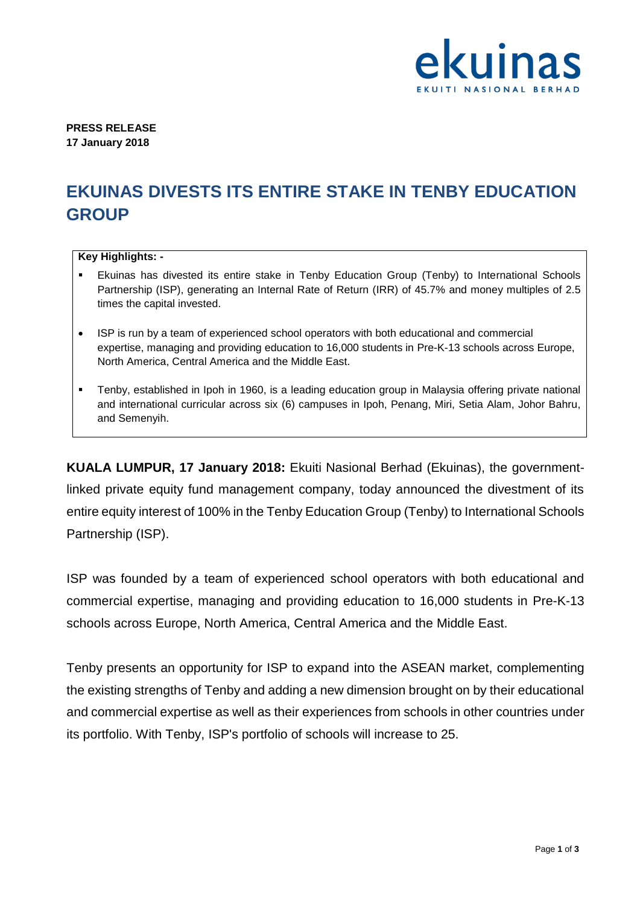

**PRESS RELEASE 17 January 2018**

# **EKUINAS DIVESTS ITS ENTIRE STAKE IN TENBY EDUCATION GROUP**

## **Key Highlights: -**

- Ekuinas has divested its entire stake in Tenby Education Group (Tenby) to International Schools Partnership (ISP), generating an Internal Rate of Return (IRR) of 45.7% and money multiples of 2.5 times the capital invested.
- ISP is run by a team of experienced school operators with both educational and commercial expertise, managing and providing education to 16,000 students in Pre-K-13 schools across Europe, North America, Central America and the Middle East.
- Tenby, established in Ipoh in 1960, is a leading education group in Malaysia offering private national and international curricular across six (6) campuses in Ipoh, Penang, Miri, Setia Alam, Johor Bahru, and Semenyih.

**KUALA LUMPUR, 17 January 2018:** Ekuiti Nasional Berhad (Ekuinas), the governmentlinked private equity fund management company, today announced the divestment of its entire equity interest of 100% in the Tenby Education Group (Tenby) to International Schools Partnership (ISP).

ISP was founded by a team of experienced school operators with both educational and commercial expertise, managing and providing education to 16,000 students in Pre-K-13 schools across Europe, North America, Central America and the Middle East.

Tenby presents an opportunity for ISP to expand into the ASEAN market, complementing the existing strengths of Tenby and adding a new dimension brought on by their educational and commercial expertise as well as their experiences from schools in other countries under its portfolio. With Tenby, ISP's portfolio of schools will increase to 25.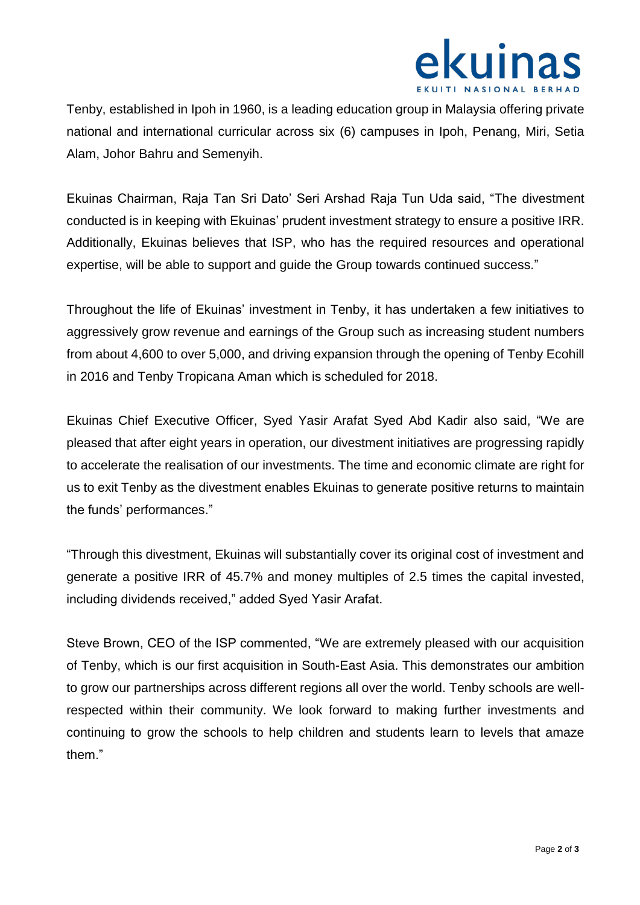

Tenby, established in Ipoh in 1960, is a leading education group in Malaysia offering private national and international curricular across six (6) campuses in Ipoh, Penang, Miri, Setia Alam, Johor Bahru and Semenyih.

Ekuinas Chairman, Raja Tan Sri Dato' Seri Arshad Raja Tun Uda said, "The divestment conducted is in keeping with Ekuinas' prudent investment strategy to ensure a positive IRR. Additionally, Ekuinas believes that ISP, who has the required resources and operational expertise, will be able to support and guide the Group towards continued success."

Throughout the life of Ekuinas' investment in Tenby, it has undertaken a few initiatives to aggressively grow revenue and earnings of the Group such as increasing student numbers from about 4,600 to over 5,000, and driving expansion through the opening of Tenby Ecohill in 2016 and Tenby Tropicana Aman which is scheduled for 2018.

Ekuinas Chief Executive Officer, Syed Yasir Arafat Syed Abd Kadir also said, "We are pleased that after eight years in operation, our divestment initiatives are progressing rapidly to accelerate the realisation of our investments. The time and economic climate are right for us to exit Tenby as the divestment enables Ekuinas to generate positive returns to maintain the funds' performances."

"Through this divestment, Ekuinas will substantially cover its original cost of investment and generate a positive IRR of 45.7% and money multiples of 2.5 times the capital invested, including dividends received," added Syed Yasir Arafat.

Steve Brown, CEO of the ISP commented, "We are extremely pleased with our acquisition of Tenby, which is our first acquisition in South-East Asia. This demonstrates our ambition to grow our partnerships across different regions all over the world. Tenby schools are wellrespected within their community. We look forward to making further investments and continuing to grow the schools to help children and students learn to levels that amaze them."